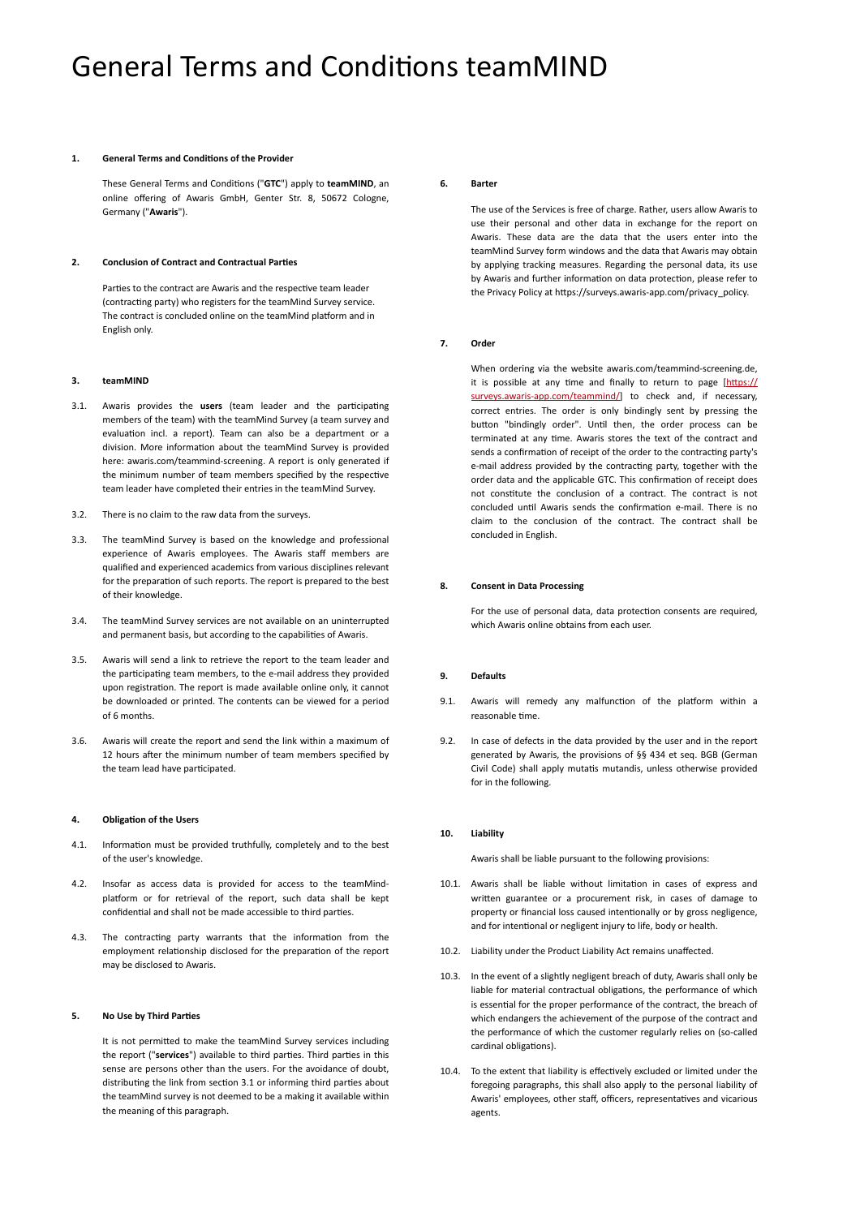## General Terms and Conditions teamMIND

#### **1. General Terms and Conditions of the Provider**

<span id="page-0-4"></span>These General Terms and Conditions ("**GTC**") apply to **teamMIND**, an online offering of Awaris GmbH, Genter Str. 8, 50672 Cologne, Germany ("**Awaris**").

#### **2. Conclusion of Contract and Contractual Parties**

<span id="page-0-3"></span>Parties to the contract are Awaris and the respective team leader (contracting party) who registers for the teamMind Survey service. The contract is concluded online on the teamMind platform and in English only.

#### **3. teamMIND**

- <span id="page-0-0"></span>3.1. Awaris provides the **users** (team leader and the participating members of the team) with the teamMind Survey (a team survey and evaluation incl. a report). Team can also be a department or a division. More information about the teamMind Survey is provided here: awaris.com/teammind-screening. A report is only generated if the minimum number of team members specified by the respective team leader have completed their entries in the teamMind Survey.
- 3.2. There is no claim to the raw data from the surveys.
- 3.3. The teamMind Survey is based on the knowledge and professional experience of Awaris employees. The Awaris staff members are qualified and experienced academics from various disciplines relevant for the preparation of such reports. The report is prepared to the best of their knowledge.
- 3.4. The teamMind Survey services are not available on an uninterrupted and permanent basis, but according to the capabilities of Awaris.
- <span id="page-0-2"></span>3.5. Awaris will send a link to retrieve the report to the team leader and the participating team members, to the e-mail address they provided upon registration. The report is made available online only, it cannot be downloaded or printed. The contents can be viewed for a period of 6 months.
- 3.6. Awaris will create the report and send the link within a maximum of 12 hours after the minimum number of team members specified by the team lead have participated.

#### **4. Obligation of the Users**

- 4.1. Information must be provided truthfully, completely and to the best of the user's knowledge.
- 4.2. Insofar as access data is provided for access to the teamMindplatform or for retrieval of the report, such data shall be kept confidential and shall not be made accessible to third parties.
- 4.3. The contracting party warrants that the information from the employment relationship disclosed for the preparation of the report may be disclosed to Awaris.

#### **5. No Use by Third Parties**

It is not permitted to make the teamMind Survey services including the report ("**services**") available to third parties. Third parties in this sense are persons other than the users. For the avoidance of doubt, distributing the link from section [3.1](#page-0-0) or informing third parties about the teamMind survey is not deemed to be a making it available within the meaning of this paragraph.

#### **6. Barter**

<span id="page-0-5"></span>The use of the Services is free of charge. Rather, users allow Awaris to use their personal and other data in exchange for the report on Awaris. These data are the data that the users enter into the teamMind Survey form windows and the data that Awaris may obtain by applying tracking measures. Regarding the personal data, its use by Awaris and further information on data protection, please refer to the Privacy Policy at https://surveys.awaris-app.com/privacy\_policy.

## **7. Order**

When ordering via the website awaris.com/teammind-screening.de, it is possible at any time and finally to return to page  $[https://]$  $[https://]$  $[https://]$ [surveys.awaris-app.com/teammind/\]](https://surveys.awaris-app.com/teammind/) to check and, if necessary, correct entries. The order is only bindingly sent by pressing the button "bindingly order". Until then, the order process can be terminated at any time. Awaris stores the text of the contract and sends a confirmation of receipt of the order to the contracting party's e-mail address provided by the contracting party, together with the order data and the applicable GTC. This confirmation of receipt does not constitute the conclusion of a contract. The contract is not concluded until Awaris sends the confirmation e-mail. There is no claim to the conclusion of the contract. The contract shall be concluded in English.

#### **8. Consent in Data Processing**

For the use of personal data, data protection consents are required, which Awaris online obtains from each user.

## <span id="page-0-6"></span>**9. Defaults**

- 9.1. Awaris will remedy any malfunction of the platform within a reasonable time.
- 9.2. In case of defects in the data provided by the user and in the report generated by Awaris, the provisions of §§ 434 et seq. BGB (German Civil Code) shall apply mutatis mutandis, unless otherwise provided for in the following.

#### **10. Liability**

<span id="page-0-1"></span>Awaris shall be liable pursuant to the following provisions:

- 10.1. Awaris shall be liable without limitation in cases of express and written guarantee or a procurement risk, in cases of damage to property or financial loss caused intentionally or by gross negligence, and for intentional or negligent injury to life, body or health.
- 10.2. Liability under the Product Liability Act remains unaffected.
- 10.3. In the event of a slightly negligent breach of duty, Awaris shall only be liable for material contractual obligations, the performance of which is essential for the proper performance of the contract, the breach of which endangers the achievement of the purpose of the contract and the performance of which the customer regularly relies on (so-called cardinal obligations).
- 10.4. To the extent that liability is effectively excluded or limited under the foregoing paragraphs, this shall also apply to the personal liability of Awaris' employees, other staff, officers, representatives and vicarious agents.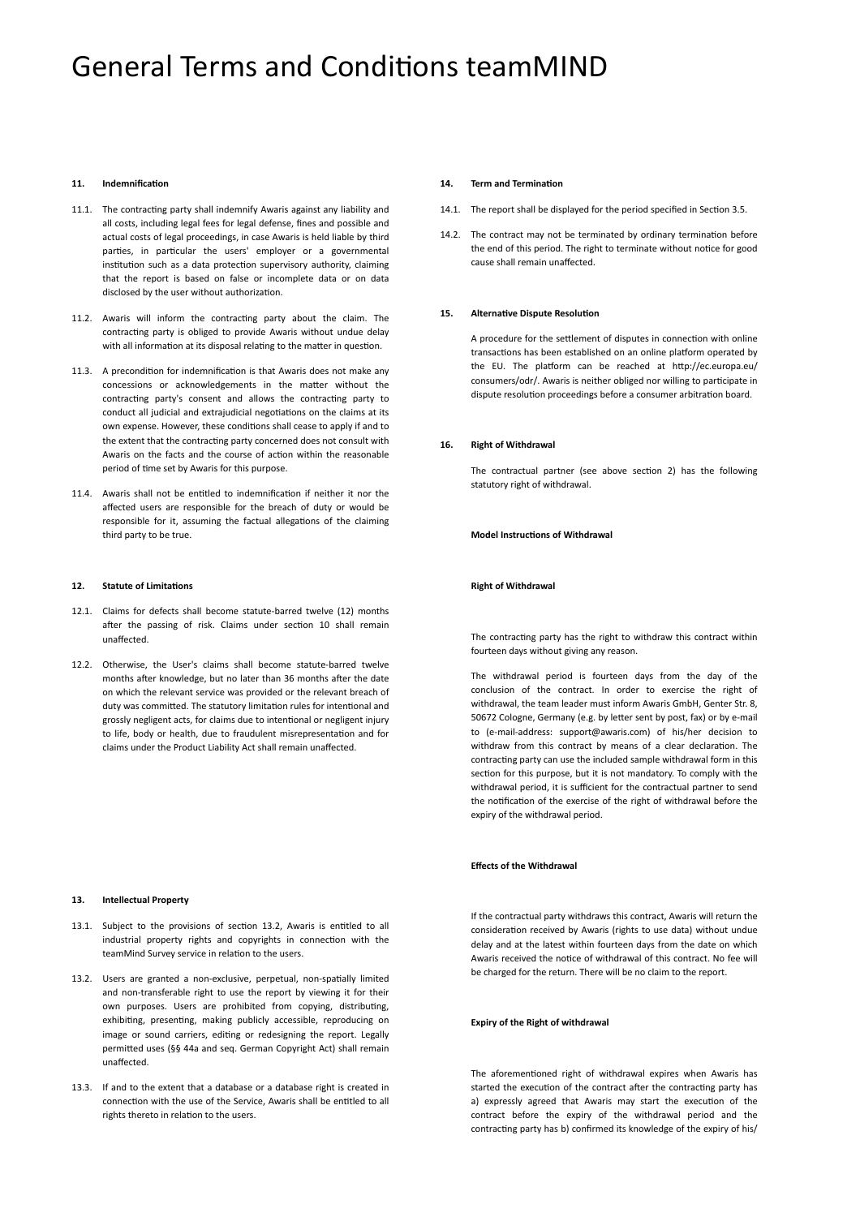## General Terms and Conditions teamMIND

### **11. Indemnification**

- 11.1. The contracting party shall indemnify Awaris against any liability and all costs, including legal fees for legal defense, fines and possible and actual costs of legal proceedings, in case Awaris is held liable by third parties, in particular the users' employer or a governmental institution such as a data protection supervisory authority, claiming that the report is based on false or incomplete data or on data disclosed by the user without authorization.
- 11.2. Awaris will inform the contracting party about the claim. The contracting party is obliged to provide Awaris without undue delay with all information at its disposal relating to the matter in question.
- 11.3. A precondition for indemnification is that Awaris does not make any concessions or acknowledgements in the matter without the contracting party's consent and allows the contracting party to conduct all judicial and extrajudicial negotiations on the claims at its own expense. However, these conditions shall cease to apply if and to the extent that the contracting party concerned does not consult with Awaris on the facts and the course of action within the reasonable period of time set by Awaris for this purpose.
- 11.4. Awaris shall not be entitled to indemnification if neither it nor the affected users are responsible for the breach of duty or would be responsible for it, assuming the factual allegations of the claiming third party to be true.

#### <span id="page-1-0"></span>**12. Statute of Limitations**

- 12.1. Claims for defects shall become statute-barred twelve (12) months after the passing of risk. Claims under section [10](#page-0-1) shall remain unaffected.
- 12.2. Otherwise, the User's claims shall become statute-barred twelve months after knowledge, but no later than 36 months after the date on which the relevant service was provided or the relevant breach of duty was committed. The statutory limitation rules for intentional and grossly negligent acts, for claims due to intentional or negligent injury to life, body or health, due to fraudulent misrepresentation and for claims under the Product Liability Act shall remain unaffected.

### **13. Intellectual Property**

- 13.1. Subject to the provisions of section 13.2, Awaris is entitled to all industrial property rights and copyrights in connection with the teamMind Survey service in relation to the users.
- 13.2. Users are granted a non-exclusive, perpetual, non-spatially limited and non-transferable right to use the report by viewing it for their own purposes. Users are prohibited from copying, distributing, exhibiting, presenting, making publicly accessible, reproducing on image or sound carriers, editing or redesigning the report. Legally permitted uses (§§ 44a and seq. German Copyright Act) shall remain unaffected.
- 13.3. If and to the extent that a database or a database right is created in connection with the use of the Service, Awaris shall be entitled to all rights thereto in relation to the users.

#### **14. Term and Termination**

- 14.1. The report shall be displayed for the period specified in Section [3.5](#page-0-2).
- 14.2. The contract may not be terminated by ordinary termination before the end of this period. The right to terminate without notice for good cause shall remain unaffected.

## **15. Alternative Dispute Resolution**

A procedure for the settlement of disputes in connection with online transactions has been established on an online platform operated by the EU. The platform can be reached at http://ec.europa.eu/ consumers/odr/. Awaris is neither obliged nor willing to participate in dispute resolution proceedings before a consumer arbitration board.

#### **16. Right of Withdrawal**

<span id="page-1-1"></span>The contractual partner (see above section [2](#page-0-3)) has the following statutory right of withdrawal.

**Model Instructions of Withdrawal**

#### **Right of Withdrawal**

The contracting party has the right to withdraw this contract within fourteen days without giving any reason.

The withdrawal period is fourteen days from the day of the conclusion of the contract. In order to exercise the right of withdrawal, the team leader must inform Awaris GmbH, Genter Str. 8, 50672 Cologne, Germany (e.g. by letter sent by post, fax) or by e-mail to (e-mail-address: support@awaris.com) of his/her decision to withdraw from this contract by means of a clear declaration. The contracting party can use the included sample withdrawal form in this section for this purpose, but it is not mandatory. To comply with the withdrawal period, it is sufficient for the contractual partner to send the notification of the exercise of the right of withdrawal before the expiry of the withdrawal period.

## **Effects of the Withdrawal**

If the contractual party withdraws this contract, Awaris will return the consideration received by Awaris (rights to use data) without undue delay and at the latest within fourteen days from the date on which Awaris received the notice of withdrawal of this contract. No fee will be charged for the return. There will be no claim to the report.

## **Expiry of the Right of withdrawal**

The aforementioned right of withdrawal expires when Awaris has started the execution of the contract after the contracting party has a) expressly agreed that Awaris may start the execution of the contract before the expiry of the withdrawal period and the contracting party has b) confirmed its knowledge of the expiry of his/